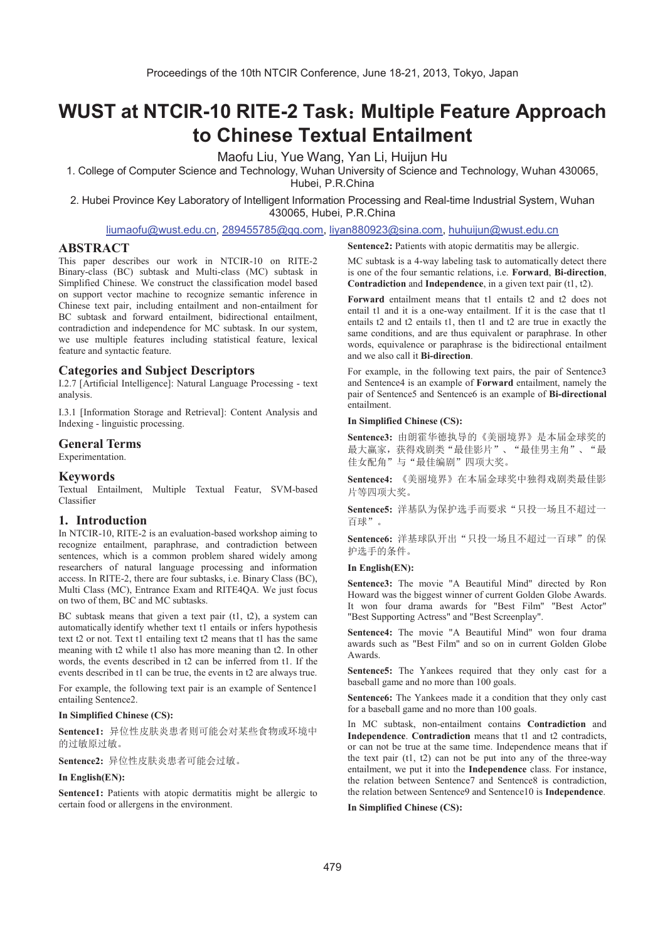# **WUST at NTCIR-10 RITE-2 Task: Multiple Feature Approach to Chinese Textual Entailment**

Maofu Liu, Yue Wang, Yan Li, Huijun Hu

1. College of Computer Science and Technology, Wuhan University of Science and Technology, Wuhan 430065,

Hubei, P.R.China

2. Hubei Province Key Laboratory of Intelligent Information Processing and Real-time Industrial System, Wuhan 430065, Hubei, P.R.China

# liumaofu@wust.edu.cn, 289455785@qq.com, liyan880923@sina.com, huhuijun@wust.edu.cn

# **ABSTRACT**

This paper describes our work in NTCIR-10 on RITE-2 Binary-class (BC) subtask and Multi-class (MC) subtask in Simplified Chinese. We construct the classification model based on support vector machine to recognize semantic inference in Chinese text pair, including entailment and non-entailment for BC subtask and forward entailment, bidirectional entailment, contradiction and independence for MC subtask. In our system, we use multiple features including statistical feature, lexical feature and syntactic feature.

## **Categories and Subject Descriptors**

I.2.7 [Artificial Intelligence]: Natural Language Processing - text analysis.

I.3.1 [Information Storage and Retrieval]: Content Analysis and Indexing - linguistic processing.

## **General Terms**

Experimentation.

## **Keywords**

Textual Entailment, Multiple Textual Featur, SVM-based Classifier

# **1. Introduction**

In NTCIR-10, RITE-2 is an evaluation-based workshop aiming to recognize entailment, paraphrase, and contradiction between sentences, which is a common problem shared widely among researchers of natural language processing and information access. In RITE-2, there are four subtasks, i.e. Binary Class (BC), Multi Class (MC), Entrance Exam and RITE4QA. We just focus on two of them, BC and MC subtasks.

BC subtask means that given a text pair (t1, t2), a system can automatically identify whether text t1 entails or infers hypothesis text t2 or not. Text t1 entailing text t2 means that t1 has the same meaning with t2 while t1 also has more meaning than t2. In other words, the events described in t2 can be inferred from t1. If the events described in t1 can be true, the events in t2 are always true.

For example, the following text pair is an example of Sentence1 entailing Sentence2.

## **In Simplified Chinese (CS):**

Sentence1: 异位性皮肤炎患者则可能会对某些食物或环境中 的过敏原过敏。

Sentence2: 异位性皮肤炎患者可能会过敏。

## **In English(EN):**

Sentence1: Patients with atopic dermatitis might be allergic to certain food or allergens in the environment.

**Sentence2:** Patients with atopic dermatitis may be allergic.

MC subtask is a 4-way labeling task to automatically detect there is one of the four semantic relations, i.e. **Forward**, **Bi-direction**, **Contradiction** and **Independence**, in a given text pair (t1, t2).

**Forward** entailment means that t1 entails t2 and t2 does not entail t1 and it is a one-way entailment. If it is the case that t1 entails t2 and t2 entails t1, then t1 and t2 are true in exactly the same conditions, and are thus equivalent or paraphrase. In other words, equivalence or paraphrase is the bidirectional entailment and we also call it **Bi-direction**.

For example, in the following text pairs, the pair of Sentence3 and Sentence4 is an example of **Forward** entailment, namely the pair of Sentence5 and Sentence6 is an example of **Bi-directional** entailment.

## **In Simplified Chinese (CS):**

Sentence3: 由朗霍华德执导的《美丽境界》是本届金球奖的 最大赢家, 获得戏剧类"最佳影片"、"最佳男主角"、"最 佳女配角"与"最佳编剧"四项大奖。

Sentence4: 《美丽境界》在本届金球奖中独得戏剧类最佳影 片等四项大奖。

Sentence5: 洋基队为保护选手而要求"只投一场且不超过一 百球"。

Sentence6: 洋基球队开出"只投一场且不超过一百球"的保 护选手的条件。

# **In English(EN):**

**Sentence3:** The movie "A Beautiful Mind" directed by Ron Howard was the biggest winner of current Golden Globe Awards. It won four drama awards for "Best Film" "Best Actor" "Best Supporting Actress" and "Best Screenplay".

**Sentence4:** The movie "A Beautiful Mind" won four drama awards such as "Best Film" and so on in current Golden Globe Awards.

Sentence<sub>5</sub>: The Yankees required that they only cast for a baseball game and no more than 100 goals.

**Sentence6:** The Yankees made it a condition that they only cast for a baseball game and no more than 100 goals.

In MC subtask, non-entailment contains **Contradiction** and **Independence**. **Contradiction** means that t1 and t2 contradicts, or can not be true at the same time. Independence means that if the text pair (t1, t2) can not be put into any of the three-way entailment, we put it into the **Independence** class. For instance, the relation between Sentence7 and Sentence8 is contradiction, the relation between Sentence9 and Sentence10 is **Independence**.

#### **In Simplified Chinese (CS):**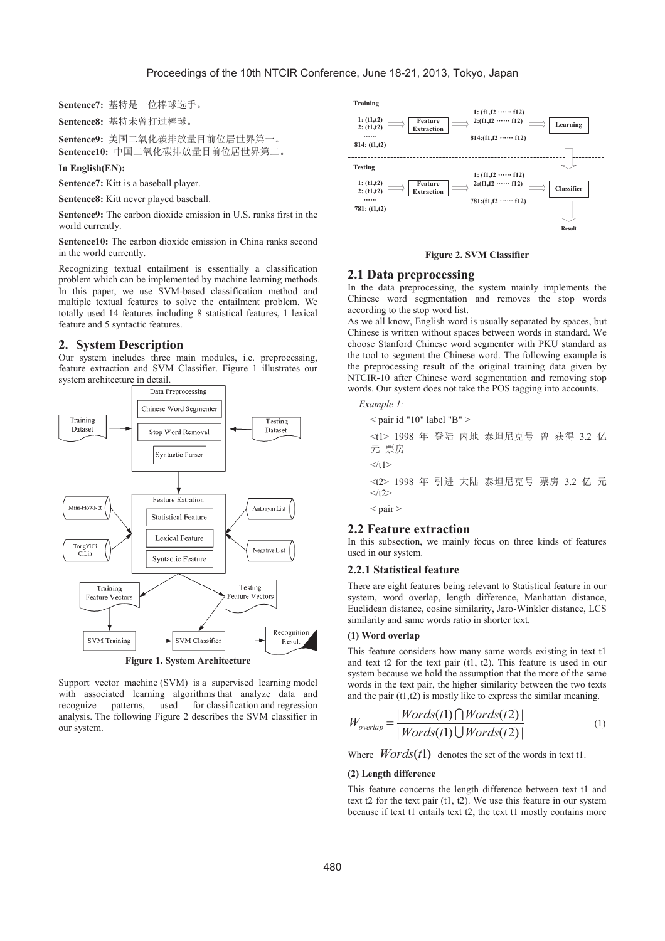Sentence7: 基特是一位棒球选手。

Sentence8: 基特未曾打过棒球。

Sentence9: 美国二氧化碳排放量目前位居世界第一。 Sentence10: 中国二氧化碳排放量目前位居世界第二。

#### In English(EN):

Sentence7: Kitt is a baseball player.

Sentence8: Kitt never played baseball.

Sentence9: The carbon dioxide emission in U.S. ranks first in the world currently.

**Sentence10:** The carbon dioxide emission in China ranks second in the world currently.

Recognizing textual entailment is essentially a classification problem which can be implemented by machine learning methods. In this paper, we use SVM-based classification method and multiple textual features to solve the entailment problem. We totally used 14 features including 8 statistical features, 1 lexical feature and 5 syntactic features.

## 2. System Description

Our system includes three main modules, i.e. preprocessing, feature extraction and SVM Classifier. Figure 1 illustrates our system architecture in detail.



**Figure 1. System Architecture** 

Support vector machine (SVM) is a supervised learning model with associated learning algorithms that analyze data and for classification and regression recognize patterns, used analysis. The following Figure 2 describes the SVM classifier in our system.



## **Figure 2. SVM Classifier**

# 2.1 Data preprocessing

In the data preprocessing, the system mainly implements the Chinese word segmentation and removes the stop words according to the stop word list.

As we all know, English word is usually separated by spaces, but Chinese is written without spaces between words in standard. We choose Stanford Chinese word segmenter with PKU standard as the tool to segment the Chinese word. The following example is the preprocessing result of the original training data given by NTCIR-10 after Chinese word segmentation and removing stop words. Our system does not take the POS tagging into accounts.

## Example 1:

 $<$  pair id "10" label "B"  $>$ <t1> 1998 年 登陆 内地 泰坦尼克号 曾 获得 3.2 亿 元 票房  $\langle t1 \rangle$ <t2> 1998 年 引进 大陆 泰坦尼克号 票房 3.2 亿 元  $\langle t2 \rangle$  $<$  pair  $>$ 

# **2.2 Feature extraction**

In this subsection, we mainly focus on three kinds of features used in our system.

## 2.2.1 Statistical feature

There are eight features being relevant to Statistical feature in our system, word overlap, length difference, Manhattan distance, Euclidean distance, cosine similarity, Jaro-Winkler distance, LCS similarity and same words ratio in shorter text.

#### (1) Word overlap

This feature considers how many same words existing in text t1 and text t2 for the text pair  $(t1, t2)$ . This feature is used in our system because we hold the assumption that the more of the same words in the text pair, the higher similarity between the two texts and the pair  $(t1,t2)$  is mostly like to express the similar meaning.

$$
W_{\text{overlap}} = \frac{|Words(t1) \bigcap Words(t2)|}{|Words(t1) \bigcup Words(t2)|}
$$
(1)

Where  $Words(t1)$  denotes the set of the words in text t1.

#### (2) Length difference

This feature concerns the length difference between text t1 and text t2 for the text pair  $(t1, t2)$ . We use this feature in our system because if text t1 entails text t2, the text t1 mostly contains more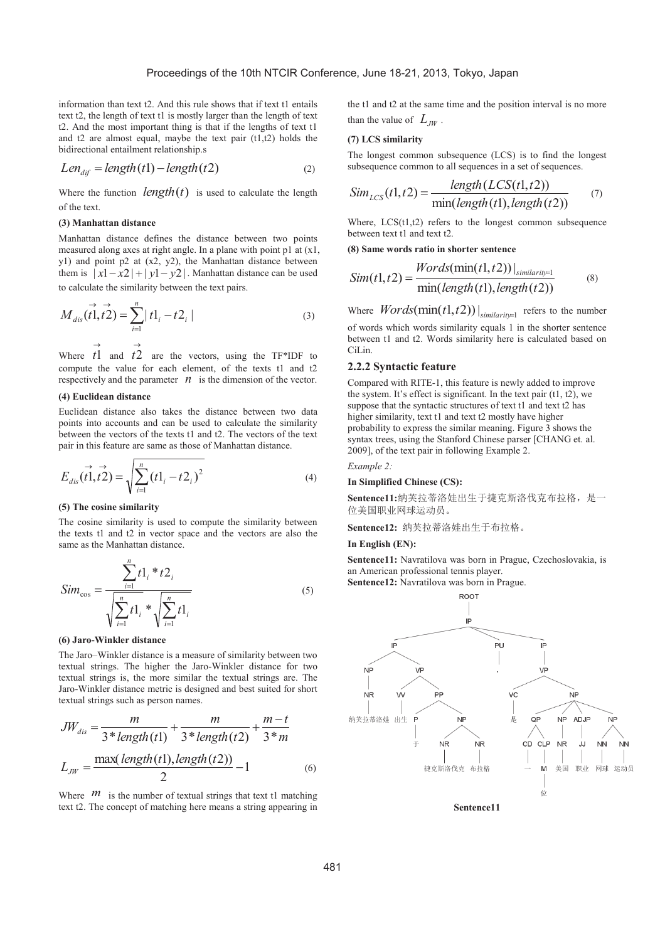information than text t2. And this rule shows that if text t1 entails text t2, the length of text t1 is mostly larger than the length of text t2. And the most important thing is that if the lengths of text t1 and t2 are almost equal, maybe the text pair (t1,t2) holds the bidirectional entailment relationship.s

$$
Len_{dif} = length(t1) - length(t2)
$$
\n(2)

Where the function  $length(t)$  is used to calculate the length of the text.

## **(3) Manhattan distance**

Manhattan distance defines the distance between two points measured along axes at right angle. In a plane with point p1 at (x1, y1) and point p2 at (x2, y2), the Manhattan distance between them is  $|x1-x2| + |y1-y2|$ . Manhattan distance can be used to calculate the similarity between the text pairs.

$$
M_{dis}(\vec{t1}, \vec{t2}) = \sum_{i=1}^{n} |t1_i - t2_i|
$$
 (3)

Where  $\overrightarrow{t}$  and  $\overrightarrow{t}$  are the vectors, using the TF\*IDF to compute the value for each element, of the texts t1 and t2 respectively and the parameter  $n$  is the dimension of the vector.

## **(4) Euclidean distance**

Euclidean distance also takes the distance between two data points into accounts and can be used to calculate the similarity between the vectors of the texts t1 and t2. The vectors of the text pair in this feature are same as those of Manhattan distance.

$$
E_{dis}(\vec{t1}, \vec{t2}) = \sqrt{\sum_{i=1}^{n} (t1_i - t2_i)^2}
$$
 (4)

## **(5) The cosine similarity**

The cosine similarity is used to compute the similarity between the texts t1 and t2 in vector space and the vectors are also the same as the Manhattan distance.

$$
Sim_{\cos} = \frac{\sum_{i=1}^{n} t1_i * t2_i}{\sqrt{\sum_{i=1}^{n} t1_i * \sqrt{\sum_{i=1}^{n} t1_i}}}
$$
(5)

## **(6) Jaro-Winkler distance**

The Jaro–Winkler distance is a measure of similarity between two textual strings. The higher the Jaro-Winkler distance for two textual strings is, the more similar the textual strings are. The Jaro-Winkler distance metric is designed and best suited for short textual strings such as person names.

$$
JW_{dis} = \frac{m}{3 * length(t1)} + \frac{m}{3 * length(t2)} + \frac{m-t}{3 * m}
$$
  

$$
L_{JW} = \frac{\max( length(t1), length(t2))}{2} - 1
$$
 (6)

Where  $m$  is the number of textual strings that text t1 matching text t2. The concept of matching here means a string appearing in the t1 and t2 at the same time and the position interval is no more than the value of  $L_{JW}$ .

## **(7) LCS similarity**

The longest common subsequence (LCS) is to find the longest subsequence common to all sequences in a set of sequences.

$$
Sim_{LCS}(t1, t2) = \frac{length(LCS(t1, t2))}{min(length(t1), length(t2))}
$$
 (7)

Where,  $LCS(t1,t2)$  refers to the longest common subsequence between text t1 and text t2.

**(8) Same words ratio in shorter sentence** 

$$
Sim(t1, t2) = \frac{Words(min(t1, t2))|_{similarity=1}}{min(length(t1), length(t2))}
$$
\n(8)

Where  $Words(\min(t1, t2))|_{similarity=1}$  refers to the number

of words which words similarity equals 1 in the shorter sentence between t1 and t2. Words similarity here is calculated based on CiLin.

## **2.2.2 Syntactic feature**

Compared with RITE-1, this feature is newly added to improve the system. It's effect is significant. In the text pair  $(t1, t2)$ , we suppose that the syntactic structures of text t1 and text t2 has higher similarity, text t1 and text t2 mostly have higher probability to express the similar meaning. Figure 3 shows the syntax trees, using the Stanford Chinese parser [CHANG et. al. 2009], of the text pair in following Example 2.

#### *Example 2:*

#### **In Simplified Chinese (CS):**

Sentence11:纳芙拉蒂洛娃出生于捷克斯洛伐克布拉格, 是一 位美国职业网球运动员。

Sentence12: 纳芙拉蒂洛娃出生于布拉格。

### **In English (EN):**

**Sentence11:** Navratilova was born in Prague, Czechoslovakia, is an American professional tennis player.

**Sentence12:** Navratilova was born in Prague.

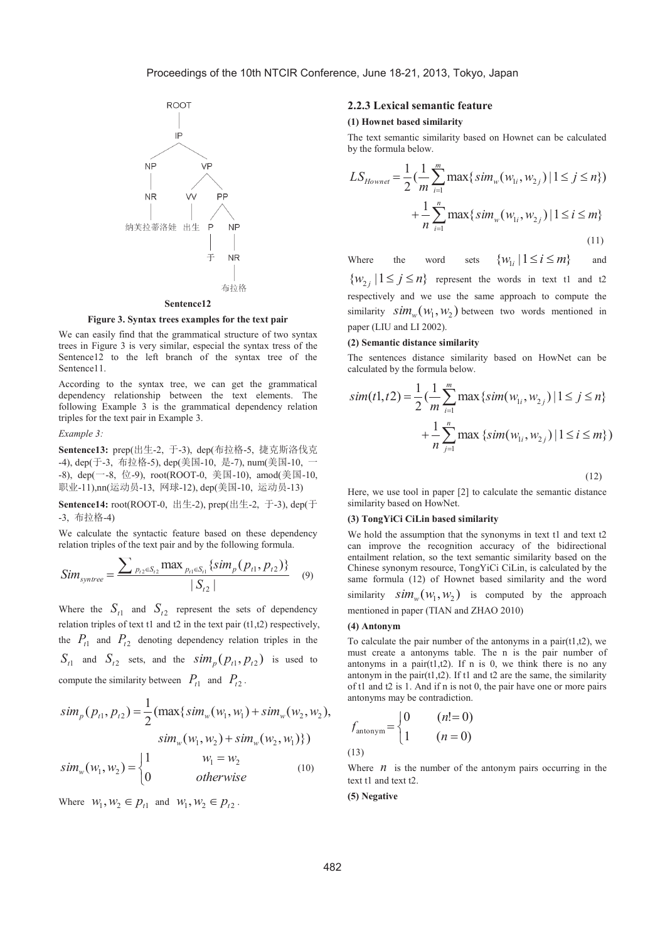

**Figure 3. Syntax trees examples for the text pair** 

We can easily find that the grammatical structure of two syntax trees in Figure 3 is very similar, especial the syntax tress of the Sentence12 to the left branch of the syntax tree of the Sentence11.

According to the syntax tree, we can get the grammatical dependency relationship between the text elements. The following Example 3 is the grammatical dependency relation triples for the text pair in Example 3.

#### *Example 3:*

Sentence13: prep(出生-2, 于-3), dep(布拉格-5, 捷克斯洛伐克 -4), dep(于-3, 布拉格-5), dep(美国-10, 是-7), num(美国-10, 一 -8), dep(-8, 位-9), root(ROOT-0, 美国-10), amod(美国-10, 职业-11),nn(运动员-13, 网球-12), dep(美国-10, 运动员-13)

**Sentence14:** root(ROOT-0, 出生-2), prep(出生-2, 于-3), dep(于 -3, 布拉格-4)

We calculate the syntactic feature based on these dependency relation triples of the text pair and by the following formula.

$$
Sim_{\text{symtree}} = \frac{\sum_{p_{t2} \in S_{t2}} \max_{p_{t1} \in S_{t1}} \{ \text{sim}_p(p_{t1}, p_{t2}) \}}{|S_{t2}|} \quad (9)
$$

Where the  $S_{t1}$  and  $S_{t2}$  represent the sets of dependency relation triples of text t1 and t2 in the text pair  $(t1,t2)$  respectively, the  $P_{t1}$  and  $P_{t2}$  denoting dependency relation triples in the  $S_{t1}$  and  $S_{t2}$  sets, and the  $\sin \frac{m_p(p_{t1}, p_{t2})}{m_p(p_{t1}, p_{t2})}$  is used to compute the similarity between  $P_{t1}$  and  $P_{t2}$ .

$$
sim_p(p_{t1}, p_{t2}) = \frac{1}{2} (max\{sim_w(w_1, w_1) + sim_w(w_2, w_2), \newline sim_w(w_1, w_2) + sim_w(w_2, w_1)\})
$$

$$
sim_w(w_1, w_2) = \begin{cases} 1 & w_1 = w_2 \\ 0 & otherwise \end{cases}
$$
(10)

Where  $W_1, W_2 \in p_{t1}$  and  $W_1, W_2 \in p_{t2}$ .

## **2.2.3 Lexical semantic feature**

#### **(1) Hownet based similarity**

The text semantic similarity based on Hownet can be calculated by the formula below.

$$
LS_{However} = \frac{1}{2} \left( \frac{1}{m} \sum_{i=1}^{m} \max \{ sim_w(w_{1i}, w_{2j}) | 1 \le j \le n \} \right) + \frac{1}{n} \sum_{i=1}^{n} \max \{ sim_w(w_{1i}, w_{2j}) | 1 \le i \le m \}
$$
\n(11)

Where the word sets  $\{w_i, |1 \le i \le m\}$  and  $\{w_{2i} | 1 \leq j \leq n\}$  represent the words in text t1 and t2 respectively and we use the same approach to compute the similarity  $\sin \frac{m_w(w_1, w_2)}{w_1, w_2}$  between two words mentioned in paper (LIU and LI 2002).

#### **(2) Semantic distance similarity**

The sentences distance similarity based on HowNet can be calculated by the formula below.

$$
sim(t1, t2) = \frac{1}{2} \left( \frac{1}{m} \sum_{i=1}^{m} \max \left\{ sim(w_{1i}, w_{2j}) \mid 1 \le j \le n \right\} + \frac{1}{n} \sum_{j=1}^{n} \max \left\{ sim(w_{1i}, w_{2j}) \mid 1 \le i \le m \right\} \right)
$$

(12)

Here, we use tool in paper [2] to calculate the semantic distance similarity based on HowNet.

## **(3) TongYiCi CiLin based similarity**

We hold the assumption that the synonyms in text t1 and text t2 can improve the recognition accuracy of the bidirectional entailment relation, so the text semantic similarity based on the Chinese synonym resource, TongYiCi CiLin, is calculated by the same formula (12) of Hownet based similarity and the word similarity  $\sin m_{\nu} (w_1, w_2)$  is computed by the approach mentioned in paper (TIAN and ZHAO 2010)

## **(4) Antonym**

To calculate the pair number of the antonyms in a pair $(t1,t2)$ , we must create a antonyms table. The n is the pair number of antonyms in a pair $(t1,t2)$ . If n is 0, we think there is no any antonym in the pair $(t1,t2)$ . If t1 and t2 are the same, the similarity of t1 and t2 is 1. And if n is not 0, the pair have one or more pairs antonyms may be contradiction.

$$
f_{\text{antonym}} = \begin{cases} 0 & (n! = 0) \\ 1 & (n = 0) \end{cases}
$$
  
(13)

Where  $n$  is the number of the antonym pairs occurring in the text t1 and text t2.

#### **(5) Negative**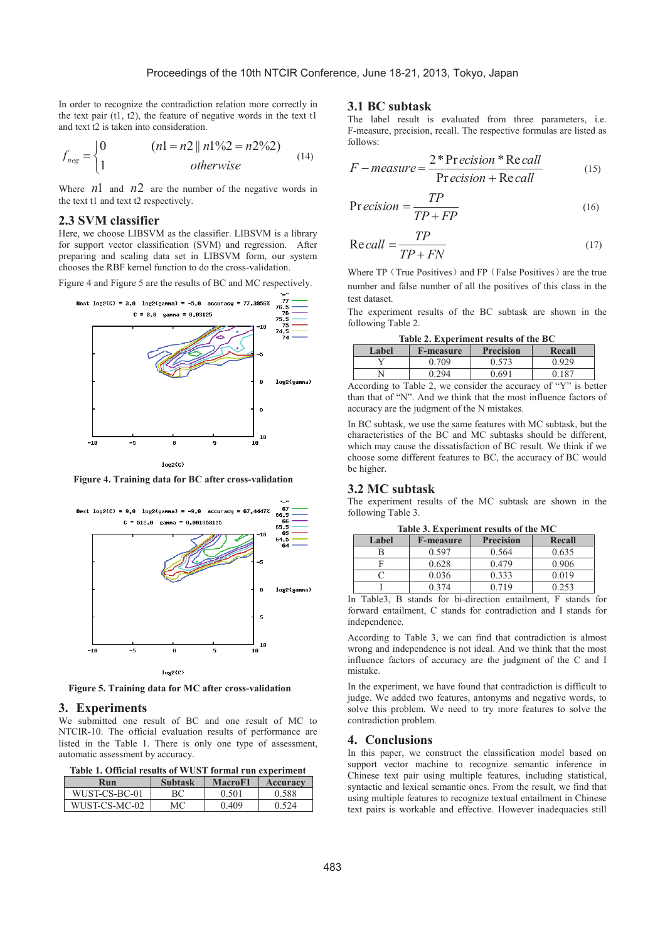In order to recognize the contradiction relation more correctly in the text pair (t1, t2), the feature of negative words in the text t1 and text t2 is taken into consideration.

$$
f_{neg} = \begin{cases} 0 & (n1 = n2 || n1\%2 = n2\%2) \\ 1 & otherwise \end{cases}
$$
 (14)

Where  $n_1$  and  $n_2$  are the number of the negative words in the text t1 and text t2 respectively.

#### **2.3 SVM classifier**

Here, we choose LIBSVM as the classifier. LIBSVM is a library for support vector classification (SVM) and regression. After preparing and scaling data set in LIBSVM form, our system chooses the RBF kernel function to do the cross-validation.

Figure 4 and Figure 5 are the results of BC and MC respectively.



**Figure 4. Training data for BC after cross-validation** 



**Figure 5. Training data for MC after cross-validation** 

#### **3. Experiments**

We submitted one result of BC and one result of MC to NTCIR-10. The official evaluation results of performance are listed in the Table 1. There is only one type of assessment, automatic assessment by accuracy.

**Table 1. Official results of WUST formal run experiment** 

| Run           | <b>Subtask</b> | <b>MacroF1</b> | Accuracy |
|---------------|----------------|----------------|----------|
| WUST-CS-BC-01 |                | 0.501          | 0.588    |
| WUST-CS-MC-02 | МC             | 0.409          | 0.524    |

## **3.1 BC subtask**

The label result is evaluated from three parameters, i.e. F-measure, precision, recall. The respective formulas are listed as follows:

$$
F-measure = \frac{2*Precision*Recall}{Precision+Recall}
$$
 (15)

$$
Precision = \frac{TP}{TP + FP}
$$
 (16)

$$
Recall = \frac{TP}{TP + FN}
$$
 (17)

Where TP (True Positives) and FP (False Positives) are the true number and false number of all the positives of this class in the test dataset.

The experiment results of the BC subtask are shown in the following Table 2.

**Table 2. Experiment results of the BC**

| Label | <b>F-measure</b> | <b>Precision</b> | Recall |
|-------|------------------|------------------|--------|
|       | 0.709            | J.573            | 0.929  |
|       | በ 294            | ገ 691            | 0.187  |

According to Table 2, we consider the accuracy of "Y" is better than that of "N". And we think that the most influence factors of accuracy are the judgment of the N mistakes.

In BC subtask, we use the same features with MC subtask, but the characteristics of the BC and MC subtasks should be different, which may cause the dissatisfaction of BC result. We think if we choose some different features to BC, the accuracy of BC would be higher.

#### **3.2 MC subtask**

The experiment results of the MC subtask are shown in the following Table 3.

**Table 3. Experiment results of the MC** 

| Label | <b>F-measure</b> | <b>Precision</b> | Recall |
|-------|------------------|------------------|--------|
|       | 0.597            | 0.564            | 0.635  |
|       | 0.628            | 0.479            | 0.906  |
|       | 0.036            | 0.333            | 0.019  |
|       | ) 374            | በ 719            | 0.253  |

In Table3, B stands for bi-direction entailment, F stands for forward entailment, C stands for contradiction and I stands for independence.

According to Table 3, we can find that contradiction is almost wrong and independence is not ideal. And we think that the most influence factors of accuracy are the judgment of the C and I mistake.

In the experiment, we have found that contradiction is difficult to judge. We added two features, antonyms and negative words, to solve this problem. We need to try more features to solve the contradiction problem.

## **4. Conclusions**

In this paper, we construct the classification model based on support vector machine to recognize semantic inference in Chinese text pair using multiple features, including statistical, syntactic and lexical semantic ones. From the result, we find that using multiple features to recognize textual entailment in Chinese text pairs is workable and effective. However inadequacies still